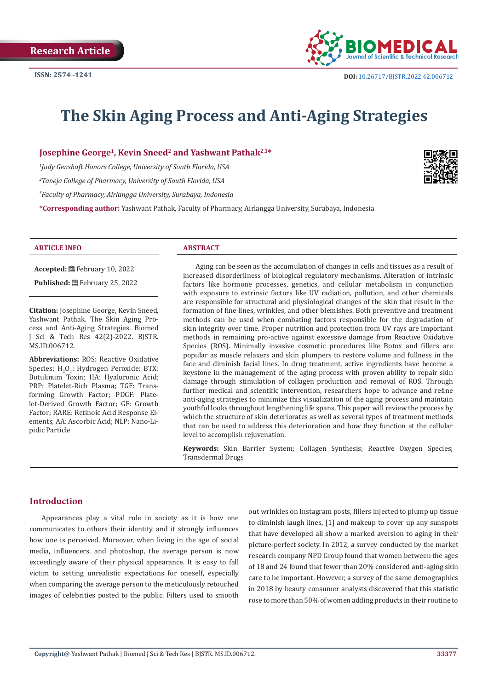

# **The Skin Aging Process and Anti-Aging Strategies**

**Josephine George<sup>1</sup>, Kevin Sneed<sup>2</sup> and Yashwant Pathak<sup>2,3\*</sup>** 

*1 Judy Genshaft Honors College, University of South Florida, USA* 

*2 Taneja College of Pharmacy, University of South Florida, USA* 

*3 Faculty of Pharmacy, Airlangga University, Surabaya, Indonesia*

**\*Corresponding author:** Yashwant Pathak, Faculty of Pharmacy, Airlangga University, Surabaya, Indonesia

#### **ARTICLE INFO ABSTRACT**

**Accepted:** February 10, 2022 **Published:** February 25, 2022

**Citation:** Josephine George, Kevin Sneed, Yashwant Pathak. The Skin Aging Process and Anti-Aging Strategies. Biomed J Sci & Tech Res 42(2)-2022. BJSTR. MS.ID.006712.

**Abbreviations:** ROS: Reactive Oxidative Species;  $H_2O_2$ : Hydrogen Peroxide; BTX: Botulinum Toxin; HA: Hyaluronic Acid; PRP: Platelet-Rich Plasma; TGF: Transforming Growth Factor; PDGF: Platelet-Derived Growth Factor; GF: Growth Factor; RARE: Retinoic Acid Response Elements; AA: Ascorbic Acid; NLP: Nano-Lipidic Particle

Aging can be seen as the accumulation of changes in cells and tissues as a result of increased disorderliness of biological regulatory mechanisms. Alteration of intrinsic factors like hormone processes, genetics, and cellular metabolism in conjunction with exposure to extrinsic factors like UV radiation, pollution, and other chemicals are responsible for structural and physiological changes of the skin that result in the formation of fine lines, wrinkles, and other blemishes. Both preventive and treatment methods can be used when combating factors responsible for the degradation of skin integrity over time. Proper nutrition and protection from UV rays are important methods in remaining pro-active against excessive damage from Reactive Oxidative Species (ROS). Minimally invasive cosmetic procedures like Botox and fillers are popular as muscle relaxers and skin plumpers to restore volume and fullness in the face and diminish facial lines. In drug treatment, active ingredients have become a keystone in the management of the aging process with proven ability to repair skin damage through stimulation of collagen production and removal of ROS. Through further medical and scientific intervention, researchers hope to advance and refine anti-aging strategies to minimize this visualization of the aging process and maintain youthful looks throughout lengthening life spans. This paper will review the process by which the structure of skin deteriorates as well as several types of treatment methods that can be used to address this deterioration and how they function at the cellular level to accomplish rejuvenation.

**Keywords:** Skin Barrier System; Collagen Synthesis; Reactive Oxygen Species; Transdermal Drugs

# **Introduction**

Appearances play a vital role in society as it is how one communicates to others their identity and it strongly influences how one is perceived. Moreover, when living in the age of social media, influencers, and photoshop, the average person is now exceedingly aware of their physical appearance. It is easy to fall victim to setting unrealistic expectations for oneself, especially when comparing the average person to the meticulously retouched images of celebrities posted to the public. Filters used to smooth

out wrinkles on Instagram posts, fillers injected to plump up tissue to diminish laugh lines, [1] and makeup to cover up any sunspots that have developed all show a marked aversion to aging in their picture-perfect society. In 2012, a survey conducted by the market research company NPD Group found that women between the ages of 18 and 24 found that fewer than 20% considered anti-aging skin care to be important. However, a survey of the same demographics in 2018 by beauty consumer analysts discovered that this statistic rose to more than 50% of women adding products in their routine to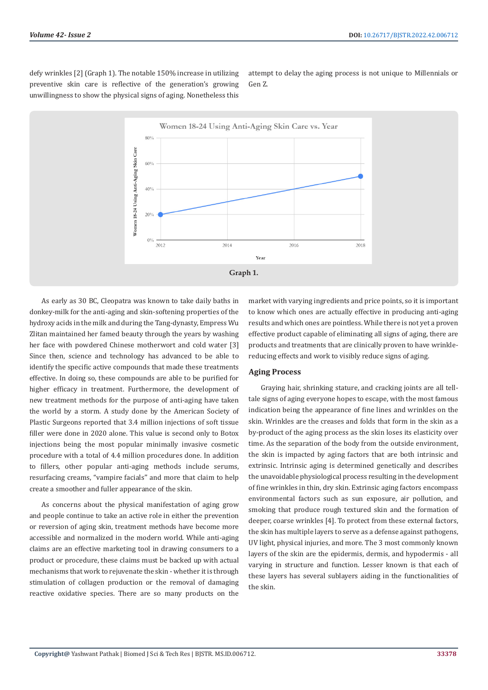defy wrinkles [2] (Graph 1). The notable 150% increase in utilizing preventive skin care is reflective of the generation's growing unwillingness to show the physical signs of aging. Nonetheless this

attempt to delay the aging process is not unique to Millennials or Gen Z.



As early as 30 BC, Cleopatra was known to take daily baths in donkey-milk for the anti-aging and skin-softening properties of the hydroxy acids in the milk and during the Tang-dynasty, Empress Wu Zlitan maintained her famed beauty through the years by washing her face with powdered Chinese motherwort and cold water [3] Since then, science and technology has advanced to be able to identify the specific active compounds that made these treatments effective. In doing so, these compounds are able to be purified for higher efficacy in treatment. Furthermore, the development of new treatment methods for the purpose of anti-aging have taken the world by a storm. A study done by the American Society of Plastic Surgeons reported that 3.4 million injections of soft tissue filler were done in 2020 alone. This value is second only to Botox injections being the most popular minimally invasive cosmetic procedure with a total of 4.4 million procedures done. In addition to fillers, other popular anti-aging methods include serums, resurfacing creams, "vampire facials'' and more that claim to help create a smoother and fuller appearance of the skin.

As concerns about the physical manifestation of aging grow and people continue to take an active role in either the prevention or reversion of aging skin, treatment methods have become more accessible and normalized in the modern world. While anti-aging claims are an effective marketing tool in drawing consumers to a product or procedure, these claims must be backed up with actual mechanisms that work to rejuvenate the skin - whether it is through stimulation of collagen production or the removal of damaging reactive oxidative species. There are so many products on the

market with varying ingredients and price points, so it is important to know which ones are actually effective in producing anti-aging results and which ones are pointless. While there is not yet a proven effective product capable of eliminating all signs of aging, there are products and treatments that are clinically proven to have wrinklereducing effects and work to visibly reduce signs of aging.

#### **Aging Process**

Graying hair, shrinking stature, and cracking joints are all telltale signs of aging everyone hopes to escape, with the most famous indication being the appearance of fine lines and wrinkles on the skin. Wrinkles are the creases and folds that form in the skin as a by-product of the aging process as the skin loses its elasticity over time. As the separation of the body from the outside environment, the skin is impacted by aging factors that are both intrinsic and extrinsic. Intrinsic aging is determined genetically and describes the unavoidable physiological process resulting in the development of fine wrinkles in thin, dry skin. Extrinsic aging factors encompass environmental factors such as sun exposure, air pollution, and smoking that produce rough textured skin and the formation of deeper, coarse wrinkles [4]. To protect from these external factors, the skin has multiple layers to serve as a defense against pathogens, UV light, physical injuries, and more. The 3 most commonly known layers of the skin are the epidermis, dermis, and hypodermis - all varying in structure and function. Lesser known is that each of these layers has several sublayers aiding in the functionalities of the skin.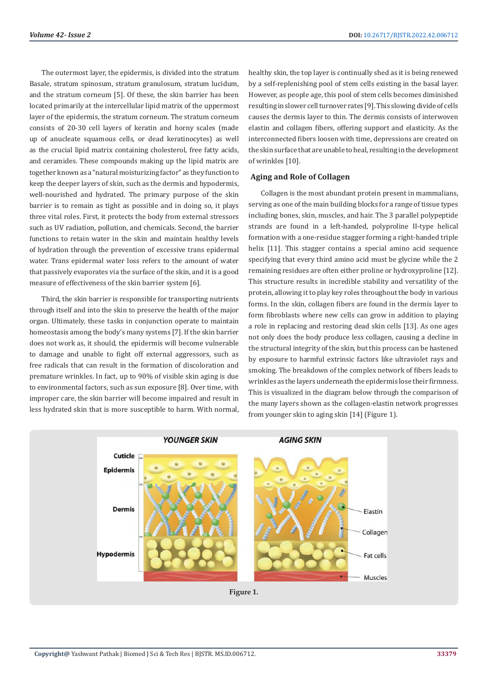The outermost layer, the epidermis, is divided into the stratum Basale, stratum spinosum, stratum granulosum, stratum lucidum, and the stratum corneum [5]. Of these, the skin barrier has been located primarily at the intercellular lipid matrix of the uppermost layer of the epidermis, the stratum corneum. The stratum corneum consists of 20-30 cell layers of keratin and horny scales (made up of anucleate squamous cells, or dead keratinocytes) as well as the crucial lipid matrix containing cholesterol, free fatty acids, and ceramides. These compounds making up the lipid matrix are together known as a "natural moisturizing factor" as they function to keep the deeper layers of skin, such as the dermis and hypodermis, well-nourished and hydrated. The primary purpose of the skin barrier is to remain as tight as possible and in doing so, it plays three vital roles. First, it protects the body from external stressors such as UV radiation, pollution, and chemicals. Second, the barrier functions to retain water in the skin and maintain healthy levels of hydration through the prevention of excessive trans epidermal water. Trans epidermal water loss refers to the amount of water that passively evaporates via the surface of the skin, and it is a good measure of effectiveness of the skin barrier system [6].

Third, the skin barrier is responsible for transporting nutrients through itself and into the skin to preserve the health of the major organ. Ultimately, these tasks in conjunction operate to maintain homeostasis among the body's many systems [7]. If the skin barrier does not work as, it should, the epidermis will become vulnerable to damage and unable to fight off external aggressors, such as free radicals that can result in the formation of discoloration and premature wrinkles. In fact, up to 90% of visible skin aging is due to environmental factors, such as sun exposure [8]. Over time, with improper care, the skin barrier will become impaired and result in less hydrated skin that is more susceptible to harm. With normal,

healthy skin, the top layer is continually shed as it is being renewed by a self-replenishing pool of stem cells existing in the basal layer. However, as people age, this pool of stem cells becomes diminished resulting in slower cell turnover rates [9]. This slowing divide of cells causes the dermis layer to thin. The dermis consists of interwoven elastin and collagen fibers, offering support and elasticity. As the interconnected fibers loosen with time, depressions are created on the skin surface that are unable to heal, resulting in the development of wrinkles [10].

# **Aging and Role of Collagen**

Collagen is the most abundant protein present in mammalians, serving as one of the main building blocks for a range of tissue types including bones, skin, muscles, and hair. The 3 parallel polypeptide strands are found in a left-handed, polyproline II-type helical formation with a one-residue stagger forming a right-handed triple helix [11]. This stagger contains a special amino acid sequence specifying that every third amino acid must be glycine while the 2 remaining residues are often either proline or hydroxyproline [12]. This structure results in incredible stability and versatility of the protein, allowing it to play key roles throughout the body in various forms. In the skin, collagen fibers are found in the dermis layer to form fibroblasts where new cells can grow in addition to playing a role in replacing and restoring dead skin cells [13]. As one ages not only does the body produce less collagen, causing a decline in the structural integrity of the skin, but this process can be hastened by exposure to harmful extrinsic factors like ultraviolet rays and smoking. The breakdown of the complex network of fibers leads to wrinkles as the layers underneath the epidermis lose their firmness. This is visualized in the diagram below through the comparison of the many layers shown as the collagen-elastin network progresses from younger skin to aging skin [14] (Figure 1).

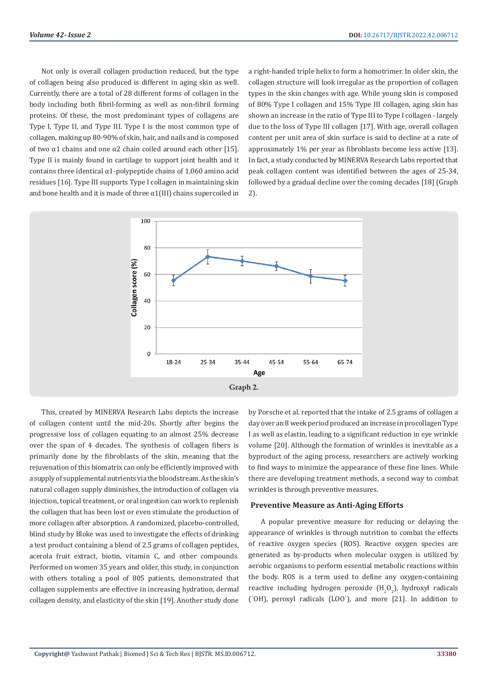Not only is overall collagen production reduced, but the type of collagen being also produced is different in aging skin as well. Currently, there are a total of 28 different forms of collagen in the body including both fibril-forming as well as non-fibril forming proteins. Of these, the most predominant types of collagens are Type I, Type II, and Type III. Type I is the most common type of collagen, making up 80-90% of skin, hair, and nails and is composed of two  $\alpha$ 1 chains and one  $\alpha$ 2 chain coiled around each other [15]. Type II is mainly found in cartilage to support joint health and it contains three identical  $\alpha$ 1-polypeptide chains of 1,060 amino acid residues [16]. Type III supports Type I collagen in maintaining skin and bone health and it is made of three  $\alpha1$  (III) chains supercoiled in

a right-handed triple helix to form a homotrimer. In older skin, the collagen structure will look irregular as the proportion of collagen types in the skin changes with age. While young skin is composed of 80% Type I collagen and 15% Type III collagen, aging skin has shown an increase in the ratio of Type III to Type I collagen - largely due to the loss of Type III collagen [17]. With age, overall collagen content per unit area of skin surface is said to decline at a rate of approximately 1% per year as fibroblasts become less active [13]. In fact, a study conducted by MINERVA Research Labs reported that peak collagen content was identified between the ages of 25-34, followed by a gradual decline over the coming decades [18] (Graph 2).



This, created by MINERVA Research Labs depicts the increase of collagen content until the mid-20s. Shortly after begins the progressive loss of collagen equating to an almost 25% decrease over the span of 4 decades. The synthesis of collagen fibers is primarily done by the fibroblasts of the skin, meaning that the rejuvenation of this biomatrix can only be efficiently improved with a supply of supplemental nutrients via the bloodstream. As the skin's natural collagen supply diminishes, the introduction of collagen via injection, topical treatment, or oral ingestion can work to replenish the collagen that has been lost or even stimulate the production of more collagen after absorption. A randomized, placebo-controlled, blind study by Bloke was used to investigate the effects of drinking a test product containing a blend of 2.5 grams of collagen peptides, acerola fruit extract, biotin, vitamin C, and other compounds. Performed on women 35 years and older, this study, in conjunction with others totaling a pool of 805 patients, demonstrated that collagen supplements are effective in increasing hydration, dermal collagen density, and elasticity of the skin [19]. Another study done

by Porsche et al. reported that the intake of 2.5 grams of collagen a day over an 8 week period produced an increase in procollagen Type I as well as elastin, leading to a significant reduction in eye wrinkle volume [20]. Although the formation of wrinkles is inevitable as a byproduct of the aging process, researchers are actively working to find ways to minimize the appearance of these fine lines. While there are developing treatment methods, a second way to combat wrinkles is through preventive measures.

#### **Preventive Measure as Anti-Aging Efforts**

A popular preventive measure for reducing or delaying the appearance of wrinkles is through nutrition to combat the effects of reactive oxygen species (ROS). Reactive oxygen species are generated as by-products when molecular oxygen is utilized by aerobic organisms to perform essential metabolic reactions within the body. ROS is a term used to define any oxygen-containing reactive including hydrogen peroxide  $(H_2O_2)$ , hydroxyl radicals (˙OH), peroxyl radicals (LOO˙), and more [21]. In addition to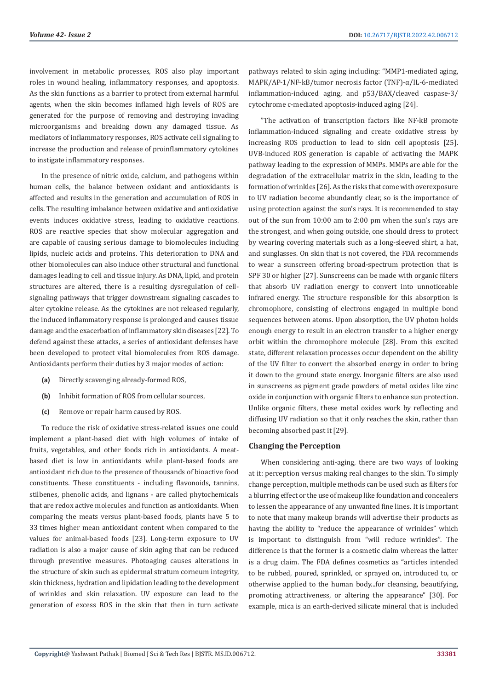involvement in metabolic processes, ROS also play important roles in wound healing, inflammatory responses, and apoptosis. As the skin functions as a barrier to protect from external harmful agents, when the skin becomes inflamed high levels of ROS are generated for the purpose of removing and destroying invading microorganisms and breaking down any damaged tissue. As mediators of inflammatory responses, ROS activate cell signaling to increase the production and release of proinflammatory cytokines to instigate inflammatory responses.

In the presence of nitric oxide, calcium, and pathogens within human cells, the balance between oxidant and antioxidants is affected and results in the generation and accumulation of ROS in cells. The resulting imbalance between oxidative and antioxidative events induces oxidative stress, leading to oxidative reactions. ROS are reactive species that show molecular aggregation and are capable of causing serious damage to biomolecules including lipids, nucleic acids and proteins. This deterioration to DNA and other biomolecules can also induce other structural and functional damages leading to cell and tissue injury. As DNA, lipid, and protein structures are altered, there is a resulting dysregulation of cellsignaling pathways that trigger downstream signaling cascades to alter cytokine release. As the cytokines are not released regularly, the induced inflammatory response is prolonged and causes tissue damage and the exacerbation of inflammatory skin diseases [22]. To defend against these attacks, a series of antioxidant defenses have been developed to protect vital biomolecules from ROS damage. Antioxidants perform their duties by 3 major modes of action:

- **(a)** Directly scavenging already-formed ROS,
- **(b)** Inhibit formation of ROS from cellular sources,
- **(c)** Remove or repair harm caused by ROS.

To reduce the risk of oxidative stress-related issues one could implement a plant-based diet with high volumes of intake of fruits, vegetables, and other foods rich in antioxidants. A meatbased diet is low in antioxidants while plant-based foods are antioxidant rich due to the presence of thousands of bioactive food constituents. These constituents - including flavonoids, tannins, stilbenes, phenolic acids, and lignans - are called phytochemicals that are redox active molecules and function as antioxidants. When comparing the meats versus plant-based foods, plants have 5 to 33 times higher mean antioxidant content when compared to the values for animal-based foods [23]. Long-term exposure to UV radiation is also a major cause of skin aging that can be reduced through preventive measures. Photoaging causes alterations in the structure of skin such as epidermal stratum corneum integrity, skin thickness, hydration and lipidation leading to the development of wrinkles and skin relaxation. UV exposure can lead to the generation of excess ROS in the skin that then in turn activate

pathways related to skin aging including: "MMP1-mediated aging, MAPK/AP-1/NF-kB/tumor necrosis factor  $(TNF)$ - $\alpha$ /IL-6-mediated inflammation-induced aging, and p53/BAX/cleaved caspase-3/ cytochrome c-mediated apoptosis-induced aging [24].

"The activation of transcription factors like NF-kB promote inflammation-induced signaling and create oxidative stress by increasing ROS production to lead to skin cell apoptosis [25]. UVB-induced ROS generation is capable of activating the MAPK pathway leading to the expression of MMPs. MMPs are able for the degradation of the extracellular matrix in the skin, leading to the formation of wrinkles [26]. As the risks that come with overexposure to UV radiation become abundantly clear, so is the importance of using protection against the sun's rays. It is recommended to stay out of the sun from 10:00 am to 2:00 pm when the sun's rays are the strongest, and when going outside, one should dress to protect by wearing covering materials such as a long-sleeved shirt, a hat, and sunglasses. On skin that is not covered, the FDA recommends to wear a sunscreen offering broad-spectrum protection that is SPF 30 or higher [27]. Sunscreens can be made with organic filters that absorb UV radiation energy to convert into unnoticeable infrared energy. The structure responsible for this absorption is chromophore, consisting of electrons engaged in multiple bond sequences between atoms. Upon absorption, the UV photon holds enough energy to result in an electron transfer to a higher energy orbit within the chromophore molecule [28]. From this excited state, different relaxation processes occur dependent on the ability of the UV filter to convert the absorbed energy in order to bring it down to the ground state energy. Inorganic filters are also used in sunscreens as pigment grade powders of metal oxides like zinc oxide in conjunction with organic filters to enhance sun protection. Unlike organic filters, these metal oxides work by reflecting and diffusing UV radiation so that it only reaches the skin, rather than becoming absorbed past it [29].

#### **Changing the Perception**

When considering anti-aging, there are two ways of looking at it: perception versus making real changes to the skin. To simply change perception, multiple methods can be used such as filters for a blurring effect or the use of makeup like foundation and concealers to lessen the appearance of any unwanted fine lines. It is important to note that many makeup brands will advertise their products as having the ability to "reduce the appearance of wrinkles" which is important to distinguish from "will reduce wrinkles". The difference is that the former is a cosmetic claim whereas the latter is a drug claim. The FDA defines cosmetics as "articles intended to be rubbed, poured, sprinkled, or sprayed on, introduced to, or otherwise applied to the human body...for cleansing, beautifying, promoting attractiveness, or altering the appearance" [30]. For example, mica is an earth-derived silicate mineral that is included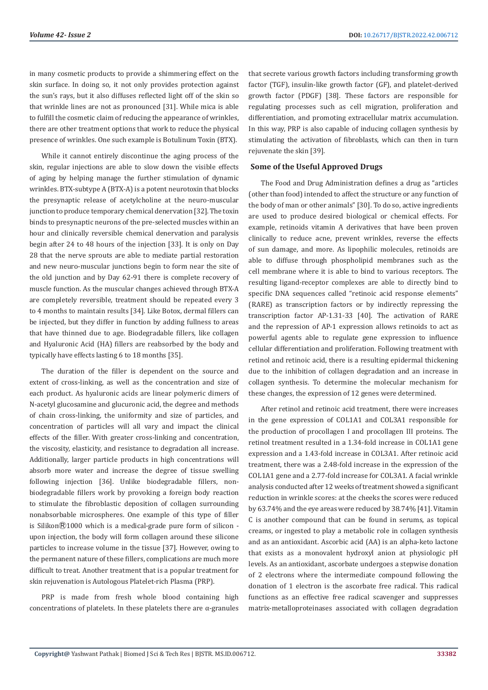in many cosmetic products to provide a shimmering effect on the skin surface. In doing so, it not only provides protection against the sun's rays, but it also diffuses reflected light off of the skin so that wrinkle lines are not as pronounced [31]. While mica is able to fulfill the cosmetic claim of reducing the appearance of wrinkles, there are other treatment options that work to reduce the physical presence of wrinkles. One such example is Botulinum Toxin (BTX).

While it cannot entirely discontinue the aging process of the skin, regular injections are able to slow down the visible effects of aging by helping manage the further stimulation of dynamic wrinkles. BTX-subtype A (BTX-A) is a potent neurotoxin that blocks the presynaptic release of acetylcholine at the neuro-muscular junction to produce temporary chemical denervation [32]. The toxin binds to presynaptic neurons of the pre-selected muscles within an hour and clinically reversible chemical denervation and paralysis begin after 24 to 48 hours of the injection [33]. It is only on Day 28 that the nerve sprouts are able to mediate partial restoration and new neuro-muscular junctions begin to form near the site of the old junction and by Day 62-91 there is complete recovery of muscle function. As the muscular changes achieved through BTX-A are completely reversible, treatment should be repeated every 3 to 4 months to maintain results [34]. Like Botox, dermal fillers can be injected, but they differ in function by adding fullness to areas that have thinned due to age. Biodegradable fillers, like collagen and Hyaluronic Acid (HA) fillers are reabsorbed by the body and typically have effects lasting 6 to 18 months [35].

The duration of the filler is dependent on the source and extent of cross-linking, as well as the concentration and size of each product. As hyaluronic acids are linear polymeric dimers of N-acetyl glucosamine and glucuronic acid, the degree and methods of chain cross-linking, the uniformity and size of particles, and concentration of particles will all vary and impact the clinical effects of the filler. With greater cross-linking and concentration, the viscosity, elasticity, and resistance to degradation all increase. Additionally, larger particle products in high concentrations will absorb more water and increase the degree of tissue swelling following injection [36]. Unlike biodegradable fillers, nonbiodegradable fillers work by provoking a foreign body reaction to stimulate the fibroblastic deposition of collagen surrounding nonabsorbable microspheres. One example of this type of filler is Silikon $\mathbb{R}$ 1000 which is a medical-grade pure form of silicon upon injection, the body will form collagen around these silicone particles to increase volume in the tissue [37]. However, owing to the permanent nature of these fillers, complications are much more difficult to treat. Another treatment that is a popular treatment for skin rejuvenation is Autologous Platelet-rich Plasma (PRP).

PRP is made from fresh whole blood containing high concentrations of platelets. In these platelets there are  $\alpha$ -granules that secrete various growth factors including transforming growth factor (TGF), insulin-like growth factor (GF), and platelet-derived growth factor (PDGF) [38]. These factors are responsible for regulating processes such as cell migration, proliferation and differentiation, and promoting extracellular matrix accumulation. In this way, PRP is also capable of inducing collagen synthesis by stimulating the activation of fibroblasts, which can then in turn rejuvenate the skin [39].

## **Some of the Useful Approved Drugs**

The Food and Drug Administration defines a drug as "articles (other than food) intended to affect the structure or any function of the body of man or other animals" [30]. To do so, active ingredients are used to produce desired biological or chemical effects. For example, retinoids vitamin A derivatives that have been proven clinically to reduce acne, prevent wrinkles, reverse the effects of sun damage, and more. As lipophilic molecules, retinoids are able to diffuse through phospholipid membranes such as the cell membrane where it is able to bind to various receptors. The resulting ligand-receptor complexes are able to directly bind to specific DNA sequences called "retinoic acid response elements" (RARE) as transcription factors or by indirectly repressing the transcription factor AP-1.31-33 [40]. The activation of RARE and the repression of AP-1 expression allows retinoids to act as powerful agents able to regulate gene expression to influence cellular differentiation and proliferation. Following treatment with retinol and retinoic acid, there is a resulting epidermal thickening due to the inhibition of collagen degradation and an increase in collagen synthesis. To determine the molecular mechanism for these changes, the expression of 12 genes were determined.

After retinol and retinoic acid treatment, there were increases in the gene expression of COL1A1 and COL3A1 responsible for the production of procollagen I and procollagen III proteins. The retinol treatment resulted in a 1.34-fold increase in COL1A1 gene expression and a 1.43-fold increase in COL3A1. After retinoic acid treatment, there was a 2.48-fold increase in the expression of the COL1A1 gene and a 2.77-fold increase for COL3A1. A facial wrinkle analysis conducted after 12 weeks of treatment showed a significant reduction in wrinkle scores: at the cheeks the scores were reduced by 63.74% and the eye areas were reduced by 38.74% [41]. Vitamin C is another compound that can be found in serums, as topical creams, or ingested to play a metabolic role in collagen synthesis and as an antioxidant. Ascorbic acid (AA) is an alpha-keto lactone that exists as a monovalent hydroxyl anion at physiologic pH levels. As an antioxidant, ascorbate undergoes a stepwise donation of 2 electrons where the intermediate compound following the donation of 1 electron is the ascorbate free radical. This radical functions as an effective free radical scavenger and suppresses matrix-metalloproteinases associated with collagen degradation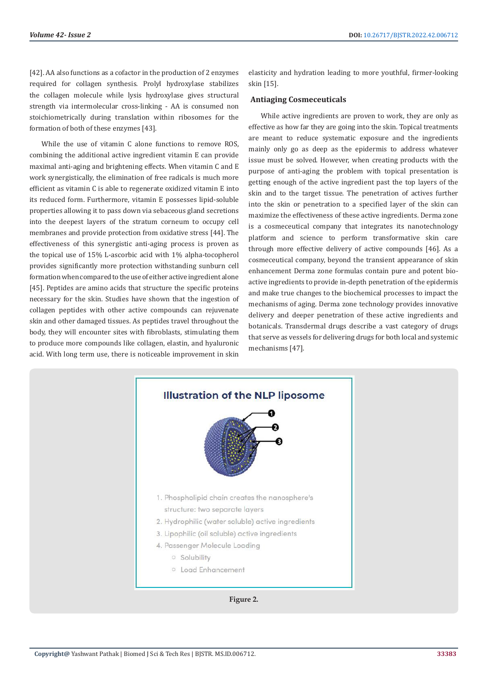[42]. AA also functions as a cofactor in the production of 2 enzymes required for collagen synthesis. Prolyl hydroxylase stabilizes the collagen molecule while lysis hydroxylase gives structural strength via intermolecular cross-linking - AA is consumed non stoichiometrically during translation within ribosomes for the formation of both of these enzymes [43].

While the use of vitamin C alone functions to remove ROS, combining the additional active ingredient vitamin E can provide maximal anti-aging and brightening effects. When vitamin C and E work synergistically, the elimination of free radicals is much more efficient as vitamin C is able to regenerate oxidized vitamin E into its reduced form. Furthermore, vitamin E possesses lipid-soluble properties allowing it to pass down via sebaceous gland secretions into the deepest layers of the stratum corneum to occupy cell membranes and provide protection from oxidative stress [44]. The effectiveness of this synergistic anti-aging process is proven as the topical use of 15% L-ascorbic acid with 1% alpha-tocopherol provides significantly more protection withstanding sunburn cell formation when compared to the use of either active ingredient alone [45]. Peptides are amino acids that structure the specific proteins necessary for the skin. Studies have shown that the ingestion of collagen peptides with other active compounds can rejuvenate skin and other damaged tissues. As peptides travel throughout the body, they will encounter sites with fibroblasts, stimulating them to produce more compounds like collagen, elastin, and hyaluronic acid. With long term use, there is noticeable improvement in skin

elasticity and hydration leading to more youthful, firmer-looking skin [15].

# **Antiaging Cosmeceuticals**

While active ingredients are proven to work, they are only as effective as how far they are going into the skin. Topical treatments are meant to reduce systematic exposure and the ingredients mainly only go as deep as the epidermis to address whatever issue must be solved. However, when creating products with the purpose of anti-aging the problem with topical presentation is getting enough of the active ingredient past the top layers of the skin and to the target tissue. The penetration of actives further into the skin or penetration to a specified layer of the skin can maximize the effectiveness of these active ingredients. Derma zone is a cosmeceutical company that integrates its nanotechnology platform and science to perform transformative skin care through more effective delivery of active compounds [46]. As a cosmeceutical company, beyond the transient appearance of skin enhancement Derma zone formulas contain pure and potent bioactive ingredients to provide in-depth penetration of the epidermis and make true changes to the biochemical processes to impact the mechanisms of aging. Derma zone technology provides innovative delivery and deeper penetration of these active ingredients and botanicals. Transdermal drugs describe a vast category of drugs that serve as vessels for delivering drugs for both local and systemic mechanisms [47].



**Copyright@** Yashwant Pathak | Biomed J Sci & Tech Res | BJSTR. MS.ID.006712.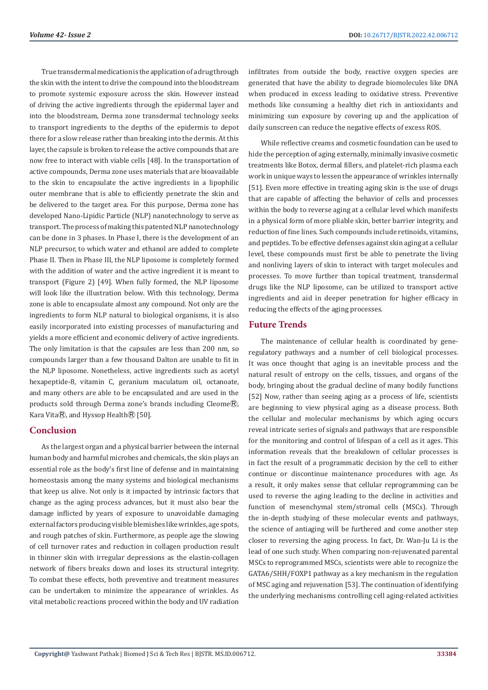True transdermal medication is the application of a drug through the skin with the intent to drive the compound into the bloodstream to promote systemic exposure across the skin. However instead of driving the active ingredients through the epidermal layer and into the bloodstream, Derma zone transdermal technology seeks to transport ingredients to the depths of the epidermis to depot there for a slow release rather than breaking into the dermis. At this layer, the capsule is broken to release the active compounds that are now free to interact with viable cells [48]. In the transportation of active compounds, Derma zone uses materials that are bioavailable to the skin to encapsulate the active ingredients in a lipophilic outer membrane that is able to efficiently penetrate the skin and be delivered to the target area. For this purpose, Derma zone has developed Nano-Lipidic Particle (NLP) nanotechnology to serve as transport. The process of making this patented NLP nanotechnology can be done in 3 phases. In Phase I, there is the development of an NLP precursor, to which water and ethanol are added to complete Phase II. Then in Phase III, the NLP liposome is completely formed with the addition of water and the active ingredient it is meant to transport (Figure 2) [49]. When fully formed, the NLP liposome will look like the illustration below. With this technology, Derma zone is able to encapsulate almost any compound. Not only are the ingredients to form NLP natural to biological organisms, it is also easily incorporated into existing processes of manufacturing and yields a more efficient and economic delivery of active ingredients. The only limitation is that the capsules are less than 200 nm, so compounds larger than a few thousand Dalton are unable to fit in the NLP liposome. Nonetheless, active ingredients such as acetyl hexapeptide-8, vitamin C, geranium maculatum oil, octanoate, and many others are able to be encapsulated and are used in the products sold through Derma zone's brands including Cleome®, Kara Vita $\overline{R}$ , and Hyssop Health $\overline{R}$  [50].

# **Conclusion**

As the largest organ and a physical barrier between the internal human body and harmful microbes and chemicals, the skin plays an essential role as the body's first line of defense and in maintaining homeostasis among the many systems and biological mechanisms that keep us alive. Not only is it impacted by intrinsic factors that change as the aging process advances, but it must also bear the damage inflicted by years of exposure to unavoidable damaging external factors producing visible blemishes like wrinkles, age spots, and rough patches of skin. Furthermore, as people age the slowing of cell turnover rates and reduction in collagen production result in thinner skin with irregular depressions as the elastin-collagen network of fibers breaks down and loses its structural integrity. To combat these effects, both preventive and treatment measures can be undertaken to minimize the appearance of wrinkles. As vital metabolic reactions proceed within the body and UV radiation

infiltrates from outside the body, reactive oxygen species are generated that have the ability to degrade biomolecules like DNA when produced in excess leading to oxidative stress. Preventive methods like consuming a healthy diet rich in antioxidants and minimizing sun exposure by covering up and the application of daily sunscreen can reduce the negative effects of excess ROS.

While reflective creams and cosmetic foundation can be used to hide the perception of aging externally, minimally invasive cosmetic treatments like Botox, dermal fillers, and platelet-rich plasma each work in unique ways to lessen the appearance of wrinkles internally [51]. Even more effective in treating aging skin is the use of drugs that are capable of affecting the behavior of cells and processes within the body to reverse aging at a cellular level which manifests in a physical form of more pliable skin, better barrier integrity, and reduction of fine lines. Such compounds include retinoids, vitamins, and peptides. To be effective defenses against skin aging at a cellular level, these compounds must first be able to penetrate the living and nonliving layers of skin to interact with target molecules and processes. To move further than topical treatment, transdermal drugs like the NLP liposome, can be utilized to transport active ingredients and aid in deeper penetration for higher efficacy in reducing the effects of the aging processes.

# **Future Trends**

The maintenance of cellular health is coordinated by generegulatory pathways and a number of cell biological processes. It was once thought that aging is an inevitable process and the natural result of entropy on the cells, tissues, and organs of the body, bringing about the gradual decline of many bodily functions [52] Now, rather than seeing aging as a process of life, scientists are beginning to view physical aging as a disease process. Both the cellular and molecular mechanisms by which aging occurs reveal intricate series of signals and pathways that are responsible for the monitoring and control of lifespan of a cell as it ages. This information reveals that the breakdown of cellular processes is in fact the result of a programmatic decision by the cell to either continue or discontinue maintenance procedures with age. As a result, it only makes sense that cellular reprogramming can be used to reverse the aging leading to the decline in activities and function of mesenchymal stem/stromal cells (MSCs). Through the in-depth studying of these molecular events and pathways, the science of antiaging will be furthered and come another step closer to reversing the aging process. In fact, Dr. Wan-Ju Li is the lead of one such study. When comparing non-rejuvenated parental MSCs to reprogrammed MSCs, scientists were able to recognize the GATA6/SHH/FOXP1 pathway as a key mechanism in the regulation of MSC aging and rejuvenation [53]. The continuation of identifying the underlying mechanisms controlling cell aging-related activities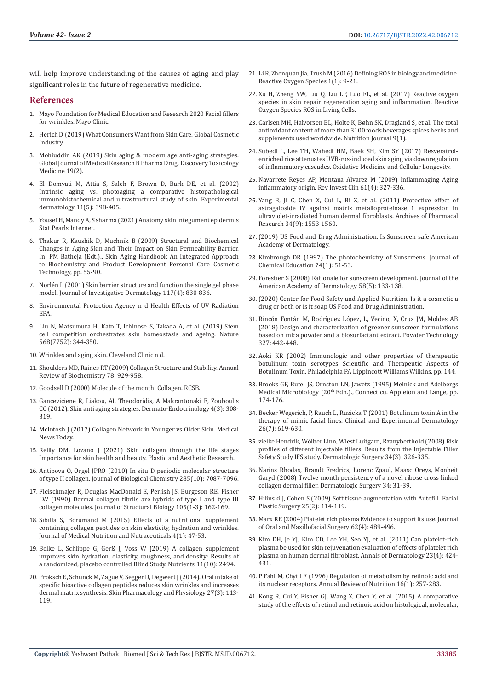will help improve understanding of the causes of aging and play significant roles in the future of regenerative medicine.

## **References**

- 1. Mayo Foundation for Medical Education and Research 2020 Facial fillers for wrinkles. Mayo Clinic.
- 2. [Herich D \(2019\) What Consumers Want from Skin Care. Global Cosmetic](https://www.gcimagazine.com/brands-products/skin-care/article/21848792/what-consumers-want-from-skin-care)  [Industry.](https://www.gcimagazine.com/brands-products/skin-care/article/21848792/what-consumers-want-from-skin-care)
- 3. Mohiuddin AK (2019) Skin aging & modern age anti-aging strategies. Global Journal of Medical Research B Pharma Drug. Discovery Toxicology Medicine 19(2).
- 4. [El Domyati M, Attia S, Saleh F, Brown D, Bark DE, et al. \(2002\)](https://pubmed.ncbi.nlm.nih.gov/12366692/)  [Intrinsic aging vs. photoaging a comparative histopathological](https://pubmed.ncbi.nlm.nih.gov/12366692/)  [immunohistochemical and ultrastructural study of skin. Experimental](https://pubmed.ncbi.nlm.nih.gov/12366692/)  [dermatology 11\(5\): 398-405.](https://pubmed.ncbi.nlm.nih.gov/12366692/)
- 5. [Yousef H, Mandy A, S sharma \(2021\) Anatomy skin integument epidermis](https://pubmed.ncbi.nlm.nih.gov/29262154/)  [Stat Pearls Internet.](https://pubmed.ncbi.nlm.nih.gov/29262154/)
- 6. [Thakur R, Kaushik D, Muchnik B \(2009\) Structural and Biochemical](https://www.researchwithrutgers.com/en/publications/structural-and-biochemical-changes-in-aging-skin-and-their-impact)  [Changes in Aging Skin and Their Impact on Skin Permeability Barrier.](https://www.researchwithrutgers.com/en/publications/structural-and-biochemical-changes-in-aging-skin-and-their-impact)  [In: PM Batheja \(Edt.\)., Skin Aging Handbook An Integrated Approach](https://www.researchwithrutgers.com/en/publications/structural-and-biochemical-changes-in-aging-skin-and-their-impact)  [to Biochemistry and Product Development Personal Care Cosmetic](https://www.researchwithrutgers.com/en/publications/structural-and-biochemical-changes-in-aging-skin-and-their-impact)  [Technology, pp. 55-90.](https://www.researchwithrutgers.com/en/publications/structural-and-biochemical-changes-in-aging-skin-and-their-impact)
- 7. [Norlén L \(2001\) Skin barrier structure and function the single gel phase](https://pubmed.ncbi.nlm.nih.gov/11676819/)  [model. Journal of Investigative Dermatology 117\(4\): 830-836.](https://pubmed.ncbi.nlm.nih.gov/11676819/)
- 8. Environmental Protection Agency n d Health Effects of UV Radiation EPA.
- 9. [Liu N, Matsumura H, Kato T, Ichinose S, Takada A, et al. \(2019\) Stem](https://www.nature.com/articles/s41586-019-1085-7)  [cell competition orchestrates skin homeostasis and ageing. Nature](https://www.nature.com/articles/s41586-019-1085-7)  [568\(7752\): 344-350.](https://www.nature.com/articles/s41586-019-1085-7)
- 10. Wrinkles and aging skin. Cleveland Clinic n d.
- 11. [Shoulders MD, Raines RT \(2009\) Collagen Structure and Stability. Annual](https://www.annualreviews.org/doi/abs/10.1146/annurev.biochem.77.032207.120833)  [Review of Biochemistry 78: 929-958.](https://www.annualreviews.org/doi/abs/10.1146/annurev.biochem.77.032207.120833)
- 12. Goodsell D (2000) Molecule of the month: Collagen. RCSB.
- 13. [Ganceviciene R, Liakou, AI, Theodoridis, A Makrantonaki E, Zouboulis](https://pubmed.ncbi.nlm.nih.gov/23467476/)  [CC \(2012\). Skin anti aging strategies. Dermato-Endocrinology 4\(3\): 308-](https://pubmed.ncbi.nlm.nih.gov/23467476/) [319](https://pubmed.ncbi.nlm.nih.gov/23467476/).
- 14. McIntosh J (2017) Collagen Network in Younger vs Older Skin. Medical News Today.
- 15. [Reilly DM, Lozano J \(2021\) Skin collagen through the life stages](https://parjournal.net/article/view/3863)  [Importance for skin health and beauty. Plastic and Aesthetic Research.](https://parjournal.net/article/view/3863)
- 16. [Antipova O, Orgel JPRO \(2010\) In situ D periodic molecular structure](https://pubmed.ncbi.nlm.nih.gov/20056598/)  [of type II collagen. Journal of Biological Chemistry 285\(10\): 7087-7096.](https://pubmed.ncbi.nlm.nih.gov/20056598/)
- 17. Fleischmajer R, Douglas MacDonald E, Perlish JS, Burgeson RE, Fisher LW (1990) Dermal collagen fibrils are hybrids of type I and type III collagen molecules. Journal of Structural Biology 105(1-3): 162-169.
- 18. [Sibilla S, Borumand M \(2015\) Effects of a nutritional supplement](https://www.jmnn.org/article.asp?issn=2278-1870;year=2015;volume=4;issue=1;spage=47;epage=53;aulast=Borumand)  [containing collagen peptides on skin elasticity, hydration and wrinkles.](https://www.jmnn.org/article.asp?issn=2278-1870;year=2015;volume=4;issue=1;spage=47;epage=53;aulast=Borumand)  [Journal of Medical Nutrition and Nutraceuticals 4\(1\): 47-53.](https://www.jmnn.org/article.asp?issn=2278-1870;year=2015;volume=4;issue=1;spage=47;epage=53;aulast=Borumand)
- 19. Bolke L, Schlippe G, Gerß J, Voss W (2019) A collagen supplement improves skin hydration, elasticity, roughness, and density: Results of a randomized, placebo controlled Blind Study. Nutrients 11(10): 2494.
- 20. [Proksch E, Schunck M, Zague V, Segger D, Degwert J \(2014\). Oral intake of](https://pubmed.ncbi.nlm.nih.gov/24401291/)  [specific bioactive collagen peptides reduces skin wrinkles and increases](https://pubmed.ncbi.nlm.nih.gov/24401291/)  [dermal matrix synthesis. Skin Pharmacology and Physiology 27\(3\): 113-](https://pubmed.ncbi.nlm.nih.gov/24401291/) [119.](https://pubmed.ncbi.nlm.nih.gov/24401291/)
- 21. [Li R, Zhenquan Jia, Trush M \(2016\) Defining ROS in biology and medicine.](https://pubmed.ncbi.nlm.nih.gov/29707643/) [Reactive Oxygen Species 1\(1\): 9-21.](https://pubmed.ncbi.nlm.nih.gov/29707643/)
- 22. [Xu H, Zheng YW, Liu Q, Liu LP, Luo FL, et al. \(2017\) Reactive oxygen](https://www.intechopen.com/chapters/58369) [species in skin repair regeneration aging and inflammation. Reactive](https://www.intechopen.com/chapters/58369) [Oxygen Species ROS in Living Cells.](https://www.intechopen.com/chapters/58369)
- 23. [Carlsen MH, Halvorsen BL, Holte K, Bøhn SK, Dragland S, et al. The total](https://nutritionj.biomedcentral.com/articles/10.1186/1475-2891-9-3) [antioxidant content of more than 3100 foods beverages spices herbs and](https://nutritionj.biomedcentral.com/articles/10.1186/1475-2891-9-3) [supplements used worldwide. Nutrition Journal 9\(1\).](https://nutritionj.biomedcentral.com/articles/10.1186/1475-2891-9-3)
- 24. [Subedi L, Lee TH, Wahedi HM, Baek SH, Kim SY \(2017\) Resveratrol](https://pubmed.ncbi.nlm.nih.gov/28900534/)[enriched rice attenuates UVB-ros-induced skin aging via downregulation](https://pubmed.ncbi.nlm.nih.gov/28900534/) [of inflammatory cascades. Oxidative Medicine and Cellular Longevity.](https://pubmed.ncbi.nlm.nih.gov/28900534/)
- 25. [Navarrete Reyes AP, Montana Alvarez M \(2009\) Inflammaging Aging](https://pubmed.ncbi.nlm.nih.gov/19848310/) [inflammatory origin. Rev Invest Clin 61\(4\): 327-336.](https://pubmed.ncbi.nlm.nih.gov/19848310/)
- 26. [Yang B, Ji C, Chen X, Cui L, Bi Z, et al. \(2011\) Protective effect of](https://pubmed.ncbi.nlm.nih.gov/21975818/) [astragaloside IV against matrix metalloproteinase 1 expression in](https://pubmed.ncbi.nlm.nih.gov/21975818/) [ultraviolet-irradiated human dermal fibroblasts. Archives of Pharmacal](https://pubmed.ncbi.nlm.nih.gov/21975818/) [Research 34\(9\): 1553-1560.](https://pubmed.ncbi.nlm.nih.gov/21975818/)
- 27. [\(2019\) US Food and Drug Administration. Is Sunscreen safe American](https://www.federalregister.gov/agencies/food-and-drug-administration) [Academy of Dermatology.](https://www.federalregister.gov/agencies/food-and-drug-administration)
- 28. [Kimbrough DR \(1997\) The photochemistry of Sunscreens. Journal of](https://pubs.acs.org/doi/10.1021/ed074p51) [Chemical Education 74\(1\): 51-53.](https://pubs.acs.org/doi/10.1021/ed074p51)
- 29. Forestier S (2008) Rationale for sunscreen development. Journal of the American Academy of Dermatology 58(5): 133-138.
- 30. (2020) Center for Food Safety and Applied Nutrition. Is it a cosmetic a drug or both or is it soap US Food and Drug Administration.
- 31. [Rincón Fontán M, Rodríguez López, L, Vecino, X, Cruz JM, Moldes AB](https://www.sciencedirect.com/science/article/abs/pii/S0032591017310495) [\(2018\) Design and characterization of greener sunscreen formulations](https://www.sciencedirect.com/science/article/abs/pii/S0032591017310495) [based on mica powder and a biosurfactant extract. Powder Technology](https://www.sciencedirect.com/science/article/abs/pii/S0032591017310495) [327: 442-448.](https://www.sciencedirect.com/science/article/abs/pii/S0032591017310495)
- 32. Aoki KR (2002) Immunologic and other properties of therapeutic botulinum toxin serotypes Scientific and Therapeutic Aspects of Botulinum Toxin. Philadelphia PA Lippincott Williams Wilkins, pp. 144.
- 33. [Brooks GF, Butel JS, Ornston LN, Jawetz \(1995\) Melnick and Adelbergs](https://www.amazon.com/Jawetz-Melnick-Adelbergs-Medical-Microbiology/dp/0838562434) Medical Microbiology (20<sup>th</sup> Edn.)., Connecticu. Appleton and Lange, pp. [174-176.](https://www.amazon.com/Jawetz-Melnick-Adelbergs-Medical-Microbiology/dp/0838562434)
- 34. [Becker Wegerich, P, Rauch L, Ruzicka T \(2001\) Botulinum toxin A in the](https://pubmed.ncbi.nlm.nih.gov/11696067/) [therapy of mimic facial lines. Clinical and Experimental Dermatology](https://pubmed.ncbi.nlm.nih.gov/11696067/) [26\(7\): 619-630.](https://pubmed.ncbi.nlm.nih.gov/11696067/)
- 35. [zielke Hendrik, Wölber Linn, Wiest Luitgard, Rzanyberthold \(2008\) Risk](https://pubmed.ncbi.nlm.nih.gov/18177399/) [profiles of different injectable fillers: Results from the Injectable Filler](https://pubmed.ncbi.nlm.nih.gov/18177399/) [Safety Study IFS study. Dermatologic Surgery 34\(3\): 326-335.](https://pubmed.ncbi.nlm.nih.gov/18177399/)
- 36. [Narins Rhodas, Brandt Fredrics, Lorenc Zpaul, Maasc Oreys, Monheit](https://pubmed.ncbi.nlm.nih.gov/18547179/) [Garyd \(2008\) Twelve month persistency of a novel ribose cross linked](https://pubmed.ncbi.nlm.nih.gov/18547179/) [collagen dermal filler. Dermatologic Surgery 34: 31-39.](https://pubmed.ncbi.nlm.nih.gov/18547179/)
- 37. [Hilinski J, Cohen S \(2009\) Soft tissue augmentation with Autofill. Facial](https://pubmed.ncbi.nlm.nih.gov/15085519/) [Plastic Surgery 25\(2\): 114-119.](https://pubmed.ncbi.nlm.nih.gov/15085519/)
- 38. [Marx RE \(2004\) Platelet rich plasma Evidence to support its use. Journal](https://pubmed.ncbi.nlm.nih.gov/15085519/) [of Oral and Maxillofacial Surgery 62\(4\): 489-496.](https://pubmed.ncbi.nlm.nih.gov/15085519/)
- 39. [Kim DH, Je YJ, Kim CD, Lee YH, Seo YJ, et al. \(2011\) Can platelet-rich](https://www.ncbi.nlm.nih.gov/labs/pmc/articles/PMC3229934/) [plasma be used for skin rejuvenation evaluation of effects of platelet rich](https://www.ncbi.nlm.nih.gov/labs/pmc/articles/PMC3229934/) [plasma on human dermal fibroblast. Annals of Dermatology 23\(4\): 424-](https://www.ncbi.nlm.nih.gov/labs/pmc/articles/PMC3229934/) [431.](https://www.ncbi.nlm.nih.gov/labs/pmc/articles/PMC3229934/)
- 40. [P Fahl M, Chytil F \(1996\) Regulation of metabolism by retinoic acid and](https://pubmed.ncbi.nlm.nih.gov/8839928/) [its nuclear receptors. Annual Review of Nutrition 16\(1\): 257-283.](https://pubmed.ncbi.nlm.nih.gov/8839928/)
- 41. [Kong R, Cui Y, Fisher GJ, Wang X, Chen Y, et al. \(2015\) A comparative](https://onlinelibrary.wiley.com/doi/full/10.1111/jocd.12193) [study of the effects of retinol and retinoic acid on histological, molecular,](https://onlinelibrary.wiley.com/doi/full/10.1111/jocd.12193)